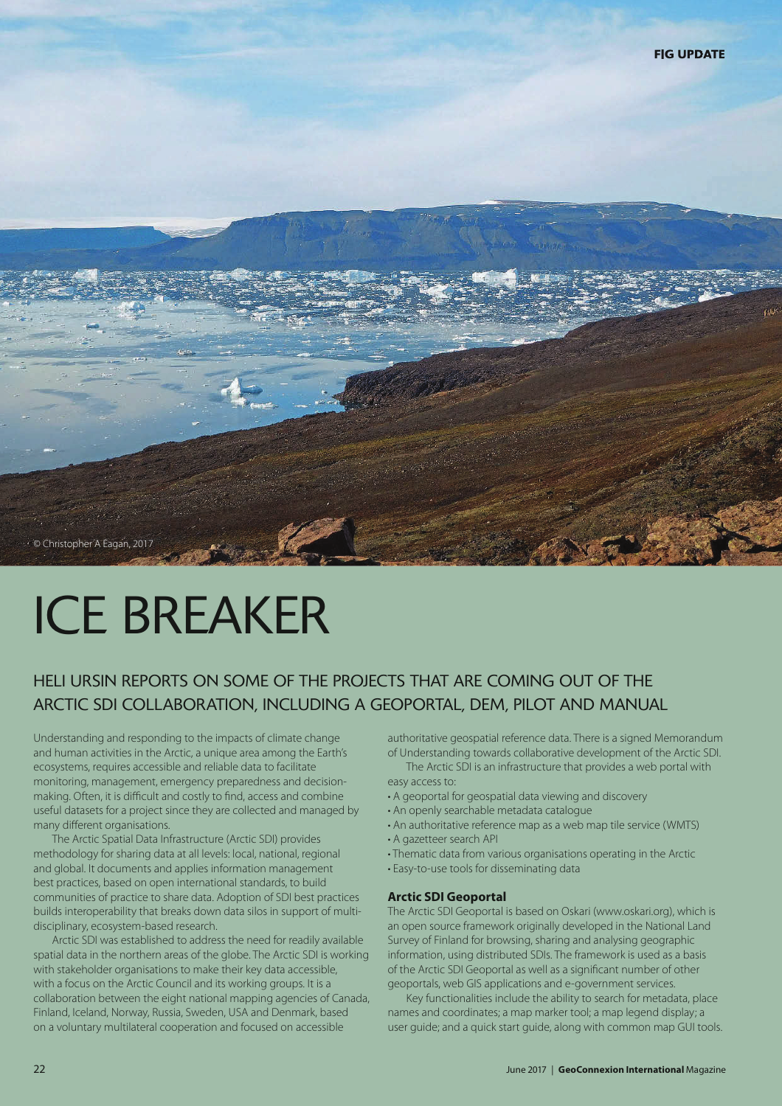

# ICE BREAKER

# HELI URSIN REPORTS ON SOME OF THE PROJECTS THAT ARE COMING OUT OF THE ARCTIC SDI COLLABORATION, INCLUDING A GEOPORTAL, DEM, PILOT AND MANUAL

Understanding and responding to the impacts of climate change and human activities in the Arctic, a unique area among the Earth's ecosystems, requires accessible and reliable data to facilitate monitoring, management, emergency preparedness and decisionmaking. Often, it is difficult and costly to find, access and combine useful datasets for a project since they are collected and managed by many different organisations.

The Arctic Spatial Data Infrastructure (Arctic SDI) provides methodology for sharing data at all levels: local, national, regional and global. It documents and applies information management best practices, based on open international standards, to build communities of practice to share data. Adoption of SDI best practices builds interoperability that breaks down data silos in support of multidisciplinary, ecosystem-based research.

Arctic SDI was established to address the need for readily available spatial data in the northern areas of the globe. The Arctic SDI is working with stakeholder organisations to make their key data accessible, with a focus on the Arctic Council and its working groups. It is a collaboration between the eight national mapping agencies of Canada, Finland, Iceland, Norway, Russia, Sweden, USA and Denmark, based on a voluntary multilateral cooperation and focused on accessible

authoritative geospatial reference data. There is a signed Memorandum of Understanding towards collaborative development of the Arctic SDI.

The Arctic SDI is an infrastructure that provides a web portal with easy access to:

- A geoportal for geospatial data viewing and discovery
- An openly searchable metadata catalogue
- An authoritative reference map as a web map tile service (WMTS) • A gazetteer search API
- Thematic data from various organisations operating in the Arctic
- Easy-to-use tools for disseminating data

#### **Arctic SDI Geoportal**

The Arctic SDI Geoportal is based on Oskari (www.oskari.org), which is an open source framework originally developed in the National Land Survey of Finland for browsing, sharing and analysing geographic information, using distributed SDIs. The framework is used as a basis of the Arctic SDI Geoportal as well as a significant number of other geoportals, web GIS applications and e-government services.

Key functionalities include the ability to search for metadata, place names and coordinates; a map marker tool; a map legend display; a user guide; and a quick start guide, along with common map GUI tools.